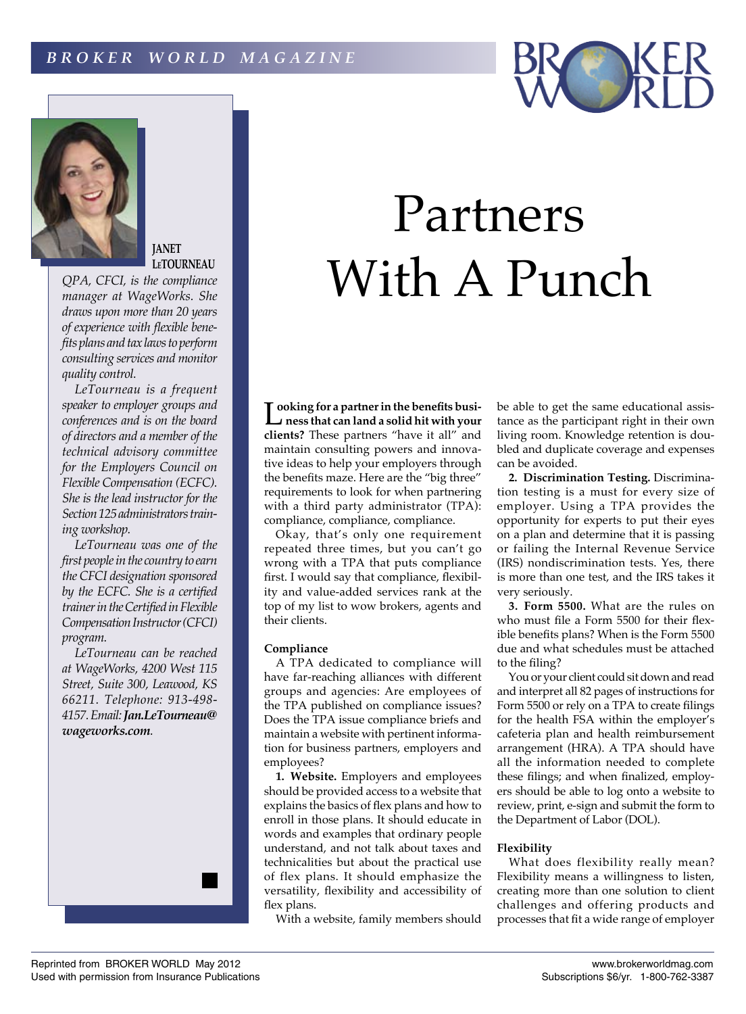



**JANET LeTOURNEAU**

*QPA, CFCI, is the compliance manager at WageWorks. She draws upon more than 20 years of experience with flexible benefits plans and tax laws to perform consulting services and monitor quality control.*

*LeTourneau is a frequent speaker to employer groups and conferences and is on the board of directors and a member of the technical advisory committee for the Employers Council on Flexible Compensation (ECFC). She is the lead instructor for the Section 125 administrators training workshop.*

*LeTourneau was one of the first people in the country to earn the CFCI designation sponsored by the ECFC. She is a certified trainer in the Certified in Flexible Compensation Instructor (CFCI) program.*

*LeTourneau can be reached at WageWorks, 4200 West 115 Street, Suite 300, Leawood, KS 66211. Telephone: 913-498- 4157. Email: Jan.LeTourneau@ wageworks.com.*



## Partners With A Punch

**L** ooking for a partner in the benefits business that can land a solid hit with your **ooking for a partner in the benefits busi clients?** These partners "have it all" and maintain consulting powers and innovative ideas to help your employers through the benefits maze. Here are the "big three" requirements to look for when partnering with a third party administrator (TPA): compliance, compliance, compliance.

Okay, that's only one requirement repeated three times, but you can't go wrong with a TPA that puts compliance first. I would say that compliance, flexibility and value-added services rank at the top of my list to wow brokers, agents and their clients.

## **Compliance**

A TPA dedicated to compliance will have far-reaching alliances with different groups and agencies: Are employees of the TPA published on compliance issues? Does the TPA issue compliance briefs and maintain a website with pertinent information for business partners, employers and employees?

**1. Website.** Employers and employees should be provided access to a website that explains the basics of flex plans and how to enroll in those plans. It should educate in words and examples that ordinary people understand, and not talk about taxes and technicalities but about the practical use of flex plans. It should emphasize the versatility, flexibility and accessibility of flex plans.

With a website, family members should

be able to get the same educational assistance as the participant right in their own living room. Knowledge retention is doubled and duplicate coverage and expenses can be avoided.

**2. Discrimination Testing.** Discrimination testing is a must for every size of employer. Using a TPA provides the opportunity for experts to put their eyes on a plan and determine that it is passing or failing the Internal Revenue Service (IRS) nondiscrimination tests. Yes, there is more than one test, and the IRS takes it very seriously.

**3. Form 5500.** What are the rules on who must file a Form 5500 for their flexible benefits plans? When is the Form 5500 due and what schedules must be attached to the filing?

You or your client could sit down and read and interpret all 82 pages of instructions for Form 5500 or rely on a TPA to create filings for the health FSA within the employer's cafeteria plan and health reimbursement arrangement (HRA). A TPA should have all the information needed to complete these filings; and when finalized, employers should be able to log onto a website to review, print, e-sign and submit the form to the Department of Labor (DOL).

## **Flexibility**

What does flexibility really mean? Flexibility means a willingness to listen, creating more than one solution to client challenges and offering products and processes that fit a wide range of employer